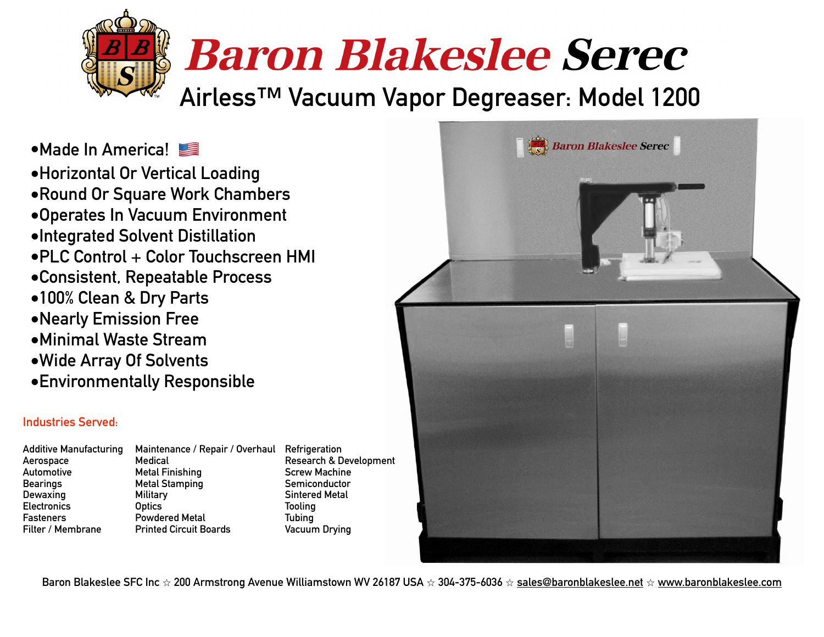# **Baron Blakeslee Serec**

**Airless™ Vacuum Vapor Degreaser: Model 1200**

**•Made In America!** 

**•Horizontal Or Vertical Loading •Round Or Square Work Chambers •Operates In Vacuum Environment •Integrated Solvent Distillation •PLC Control + Color Touchscreen HMI •Consistent, Repeatable Process •100% Clean & Dry Parts •Nearly Emission Free •Minimal Waste Stream •Wide Array Of Solvents** 

**•Environmentally Responsible**

## **Industries Served:**

**Additive Manufacturing Maintenance / Repair / Overhaul Refrigeration** 

**Aerospace Medical Research & Development**  Automotive **Metal Finishing** Screw Machine **Bearings Metal Stamping Semiconductor Constraining Semiconductor Dewaxing Military Sintered Metal Electronics Optics Tooling Fasteners Powdered Metal Tubing Filter / Membrane Printed Circuit Boards** 



**Baron Blakeslee SFC Inc** ⭐ **200 Armstrong Avenue Williamstown WV 26187 USA** ⭐ **304-375-6036** ⭐ **[sales@baronblakeslee.net](mailto:sales@baronblakeslee.net)** ⭐ **[www.baronblakeslee.com](http://www.baronblakeslee.com)**